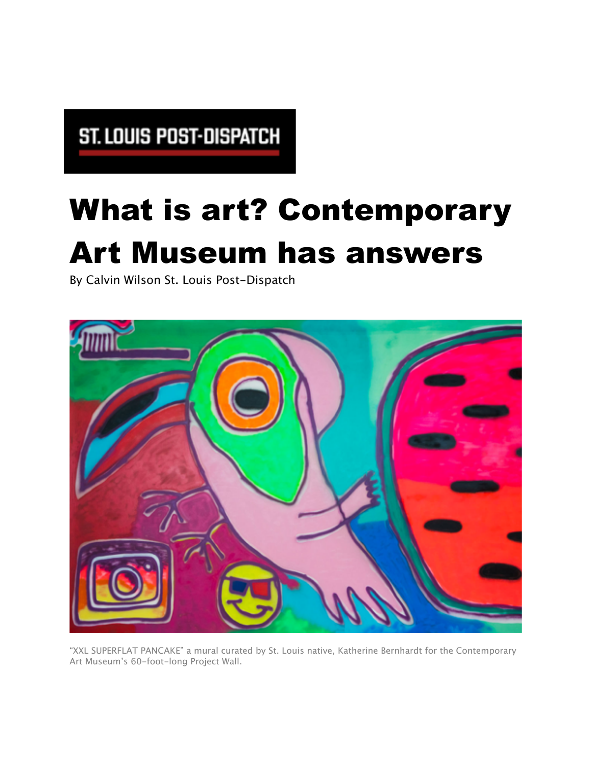## ST. LOUIS POST-DISPATCH

## What is art? Contemporary Art Museum has answers

By Calvin Wilson St. Louis Post-Dispatch



"XXL SUPERFLAT PANCAKE" a mural curated by St. Louis native, Katherine Bernhardt for the Contemporary Art Museum's 60-foot-long Project Wall.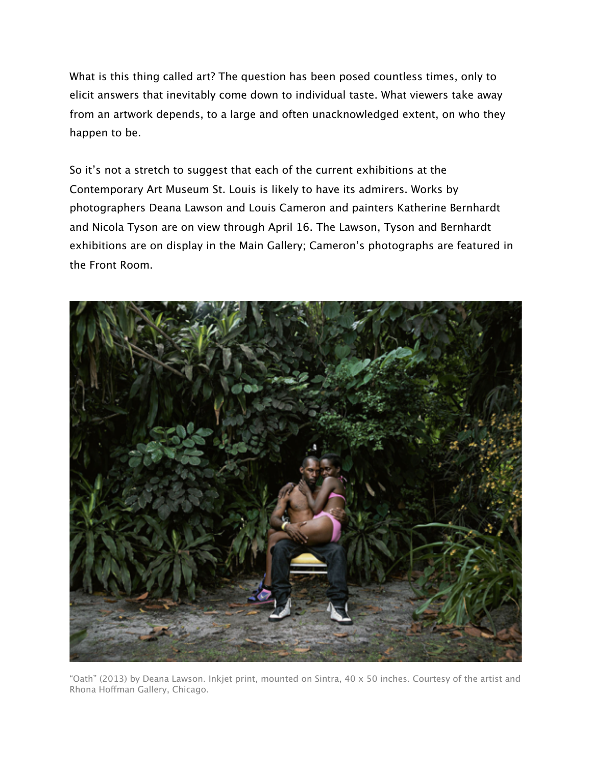What is this thing called art? The question has been posed countless times, only to elicit answers that inevitably come down to individual taste. What viewers take away from an artwork depends, to a large and often unacknowledged extent, on who they happen to be.

So it's not a stretch to suggest that each of the current exhibitions at the Contemporary Art Museum St. Louis is likely to have its admirers. Works by photographers Deana Lawson and Louis Cameron and painters Katherine Bernhardt and Nicola Tyson are on view through April 16. The Lawson, Tyson and Bernhardt exhibitions are on display in the Main Gallery; Cameron's photographs are featured in the Front Room.



"Oath" (2013) by Deana Lawson. Inkjet print, mounted on Sintra, 40 x 50 inches. Courtesy of the artist and Rhona Hofman Gallery, Chicago.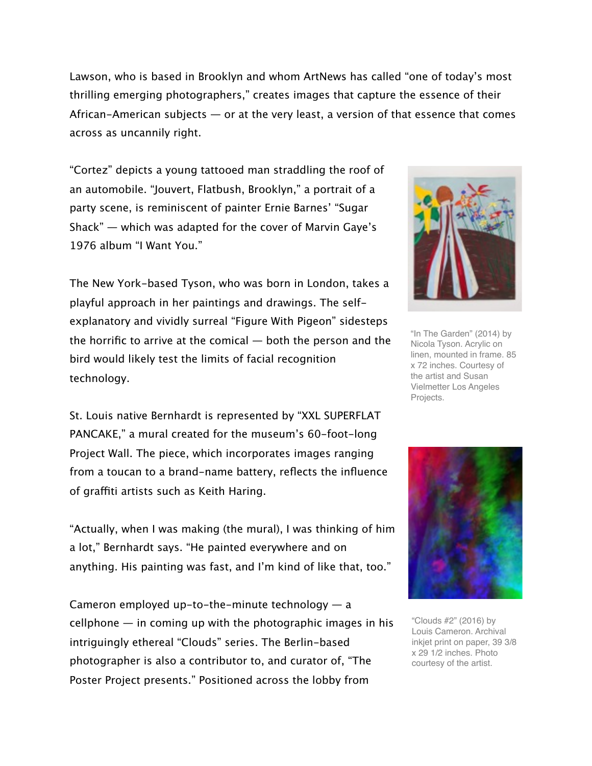Lawson, who is based in Brooklyn and whom ArtNews has called "one of today's most thrilling emerging photographers," creates images that capture the essence of their African-American subjects  $-$  or at the very least, a version of that essence that comes across as uncannily right.

"Cortez" depicts a young tattooed man straddling the roof of an automobile. "Jouvert, Flatbush, Brooklyn," a portrait of a party scene, is reminiscent of painter Ernie Barnes' "Sugar Shack" — which was adapted for the cover of Marvin Gaye's 1976 album "I Want You."

The New York-based Tyson, who was born in London, takes a playful approach in her paintings and drawings. The selfexplanatory and vividly surreal "Figure With Pigeon" sidesteps the horrific to arrive at the comical — both the person and the bird would likely test the limits of facial recognition technology.

St. Louis native Bernhardt is represented by "XXL SUPERFLAT PANCAKE," a mural created for the museum's 60-foot-long Project Wall. The piece, which incorporates images ranging from a toucan to a brand-name battery, reflects the influence of graffiti artists such as Keith Haring.

"Actually, when I was making (the mural), I was thinking of him a lot," Bernhardt says. "He painted everywhere and on anything. His painting was fast, and I'm kind of like that, too."

Cameron employed up-to-the-minute technology  $-$  a  $cellphone$  — in coming up with the photographic images in his intriguingly ethereal "Clouds" series. The Berlin-based photographer is also a contributor to, and curator of, "The Poster Project presents." Positioned across the lobby from



"In The Garden" (2014) by Nicola Tyson. Acrylic on linen, mounted in frame. 85 x 72 inches. Courtesy of the artist and Susan Vielmetter Los Angeles Projects.



"Clouds #2" (2016) by Louis Cameron. Archival inkjet print on paper, 39 3/8 x 29 1/2 inches. Photo courtesy of the artist.